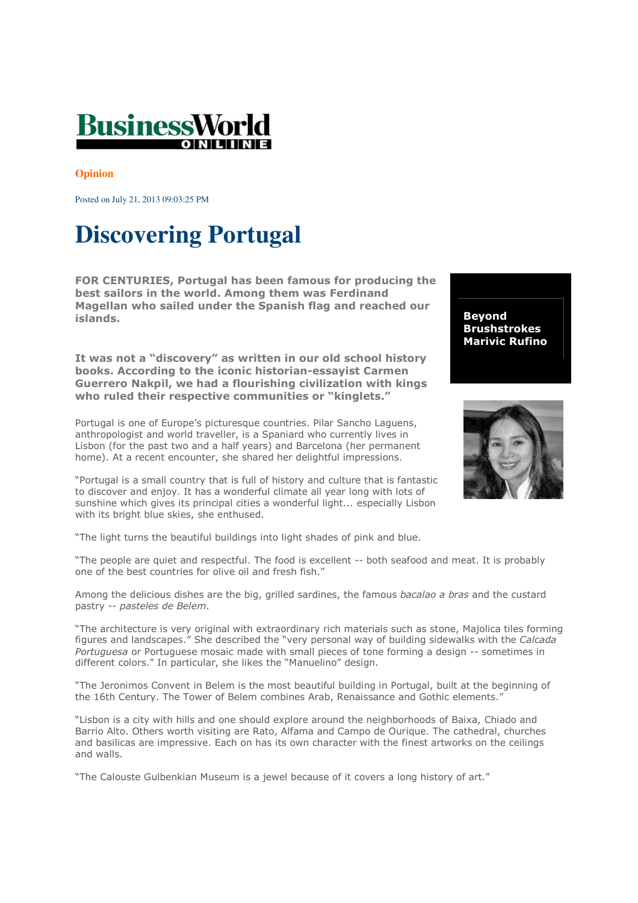

## **Opinion**

Posted on July 21, 2013 09:03:25 PM

## **Discovering Portugal**

FOR CENTURIES, Portugal has been famous for producing the best sailors in the world. Among them was Ferdinand Magellan who sailed under the Spanish flag and reached our islands.

It was not a "discovery" as written in our old school history books. According to the iconic historian-essayist Carmen Guerrero Nakpil, we had a flourishing civilization with kings who ruled their respective communities or "kinglets."

Portugal is one of Europe's picturesque countries. Pilar Sancho Laguens, anthropologist and world traveller, is a Spaniard who currently lives in Lisbon (for the past two and a half years) and Barcelona (her permanent home). At a recent encounter, she shared her delightful impressions.

"Portugal is a small country that is full of history and culture that is fantastic to discover and enjoy. It has a wonderful climate all year long with lots of sunshine which gives its principal cities a wonderful light... especially Lisbon with its bright blue skies, she enthused.

"The light turns the beautiful buildings into light shades of pink and blue.

"The people are quiet and respectful. The food is excellent -- both seafood and meat. It is probably one of the best countries for olive oil and fresh fish."

Among the delicious dishes are the big, grilled sardines, the famous bacalao a bras and the custard pastry -- pasteles de Belem.

"The architecture is very original with extraordinary rich materials such as stone, Majolica tiles forming figures and landscapes." She described the "very personal way of building sidewalks with the Calcada Portuguesa or Portuguese mosaic made with small pieces of tone forming a design -- sometimes in different colors." In particular, she likes the "Manuelino" design.

"The Jeronimos Convent in Belem is the most beautiful building in Portugal, built at the beginning of the 16th Century. The Tower of Belem combines Arab, Renaissance and Gothic elements."

"Lisbon is a city with hills and one should explore around the neighborhoods of Baixa, Chiado and Barrio Alto. Others worth visiting are Rato, Alfama and Campo de Ourique. The cathedral, churches and basilicas are impressive. Each on has its own character with the finest artworks on the ceilings and walls.

"The Calouste Gulbenkian Museum is a jewel because of it covers a long history of art."

Beyond Brushstrokes Marivic Rufino